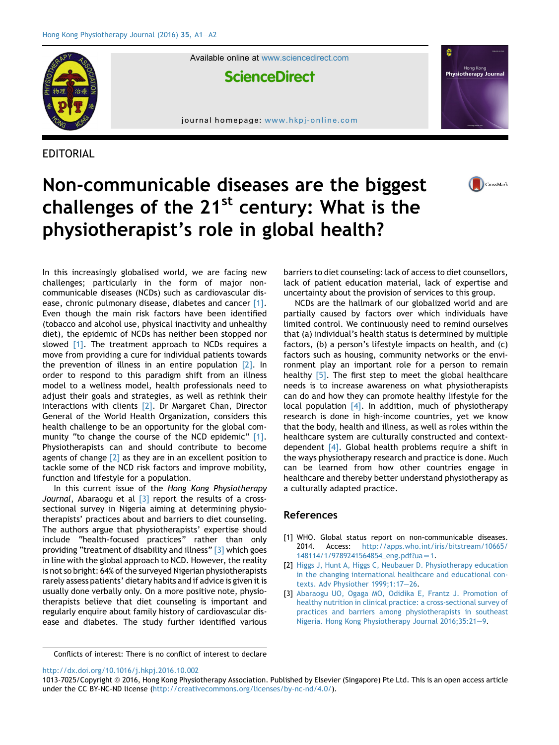

Available online at [www.sciencedirect.com](www.sciencedirect.com/science/journal/10137025)

**ScienceDirect** 

journal homepage: [www.hkpj-online.com](http://www.hkpj-online.com)

EDITORIAL



CrossMark



In this increasingly globalised world, we are facing new challenges; particularly in the form of major noncommunicable diseases (NCDs) such as cardiovascular disease, chronic pulmonary disease, diabetes and cancer [1]. Even though the main risk factors have been identified (tobacco and alcohol use, physical inactivity and unhealthy diet), the epidemic of NCDs has neither been stopped nor slowed [1]. The treatment approach to NCDs requires a move from providing a cure for individual patients towards the prevention of illness in an entire population [2]. In order to respond to this paradigm shift from an illness model to a wellness model, health professionals need to adjust their goals and strategies, as well as rethink their interactions with clients [2]. Dr Margaret Chan, Director General of the World Health Organization, considers this health challenge to be an opportunity for the global community "to change the course of the NCD epidemic" [1]. Physiotherapists can and should contribute to become agents of change  $\lceil 2 \rceil$  as they are in an excellent position to tackle some of the NCD risk factors and improve mobility, function and lifestyle for a population.

In this current issue of the Hong Kong Physiotherapy Journal, Abaraogu et al  $\lceil 3 \rceil$  report the results of a crosssectional survey in Nigeria aiming at determining physiotherapists' practices about and barriers to diet counseling. The authors argue that physiotherapists' expertise should include "health-focused practices" rather than only providing "treatment of disability and illness" [3] which goes in line with the global approach to NCD. However, the reality is not so bright: 64% of the surveyed Nigerian physiotherapists rarely assess patients' dietary habits and if advice is given it is usually done verbally only. On a more positive note, physiotherapists believe that diet counseling is important and regularly enquire about family history of cardiovascular disease and diabetes. The study further identified various

barriers to diet counseling: lack of access to diet counsellors, lack of patient education material, lack of expertise and uncertainty about the provision of services to this group.

NCDs are the hallmark of our globalized world and are partially caused by factors over which individuals have limited control. We continuously need to remind ourselves that (a) individual's health status is determined by multiple factors, (b) a person's lifestyle impacts on health, and (c) factors such as housing, community networks or the environment play an important role for a person to remain healthy [\[5\].](#page-1-0) The first step to meet the global healthcare needs is to increase awareness on what physiotherapists can do and how they can promote healthy lifestyle for the local population  $[4]$ . In addition, much of physiotherapy research is done in high-income countries, yet we know that the body, health and illness, as well as roles within the healthcare system are culturally constructed and contextdependent [\[4\]](#page-1-0). Global health problems require a shift in the ways physiotherapy research and practice is done. Much can be learned from how other countries engage in healthcare and thereby better understand physiotherapy as a culturally adapted practice.

## References

- [1] WHO. Global status report on non-communicable diseases. 2014. Access: [http://apps.who.int/iris/bitstream/10665/](http://apps.who.int/iris/bitstream/10665/148114/1/9789241564854_eng.pdf?ua=1) [148114/1/9789241564854\\_eng.pdf?ua](http://apps.who.int/iris/bitstream/10665/148114/1/9789241564854_eng.pdf?ua=1)=1.
- [2] [Higgs J, Hunt A, Higgs C, Neubauer D. Physiotherapy education](http://refhub.elsevier.com/S1013-7025(16)30071-9/sref2) [in the changing international healthcare and educational con](http://refhub.elsevier.com/S1013-7025(16)30071-9/sref2)[texts. Adv Physiother 1999;1:17](http://refhub.elsevier.com/S1013-7025(16)30071-9/sref2)-[26.](http://refhub.elsevier.com/S1013-7025(16)30071-9/sref2)
- [3] [Abaraogu UO, Ogaga MO, Odidika E, Frantz J. Promotion of](http://refhub.elsevier.com/S1013-7025(16)30071-9/sref3) [healthy nutrition in clinical practice: a cross-sectional survey of](http://refhub.elsevier.com/S1013-7025(16)30071-9/sref3) [practices and barriers among physiotherapists in southeast](http://refhub.elsevier.com/S1013-7025(16)30071-9/sref3) [Nigeria. Hong Kong Physiotherapy Journal 2016;35:21](http://refhub.elsevier.com/S1013-7025(16)30071-9/sref3)-[9](http://refhub.elsevier.com/S1013-7025(16)30071-9/sref3).

Conflicts of interest: There is no conflict of interest to declare

<http://dx.doi.org/10.1016/j.hkpj.2016.10.002>

<sup>1013-7025/</sup>Copyright @ 2016, Hong Kong Physiotherapy Association. Published by Elsevier (Singapore) Pte Ltd. This is an open access article under the CC BY-NC-ND license ([http://creativecommons.org/licenses/by-nc-nd/4.0/\)](http://creativecommons.org/licenses/by-nc-nd/4.0/).